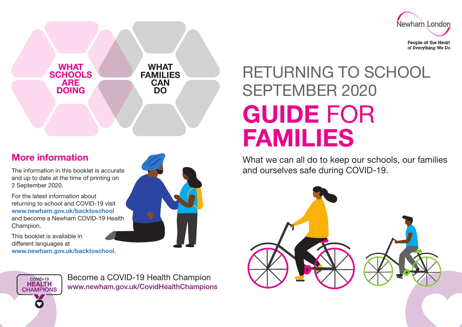



#### More information

The information in this booklet is accurate and up to date at the time of printing on 2 September 2020.

For the latest information about returning to school and COVID-19 visit [www.newham.gov.uk/backtoschool](http://www.newham.gov.uk/backtoschool)  and become a Newham COVID-19 Health Champion.

This booklet is available in different languages at [www.newham.gov.uk/backtoschool](http://www.newham.gov.uk/backtoschool).



# RETURNING TO SCHOOL SEPTEMBER 2020 GUIDE FOR FAMILIES

What we can all do to keep our schools, our families and ourselves safe during COVID-19.



COVID-19 **HEALTH CHAMPIONS** 

Become a COVID-19 Health Champion <www.newham.gov.uk/CovidHealthChampions>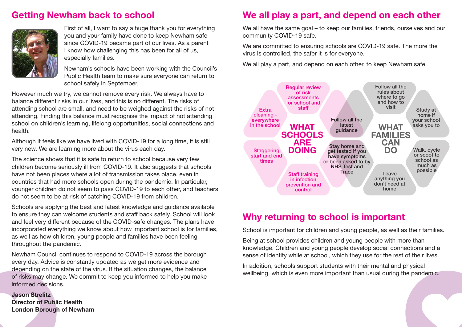#### Getting Newham back to school



First of all, I want to say a huge thank you for everything you and your family have done to keep Newham safe since COVID-19 became part of our lives. As a parent I know how challenging this has been for all of us, especially families.

Newham's schools have been working with the Council's Public Health team to make sure everyone can return to school safely in September.

However much we try, we cannot remove every risk. We always have to balance different risks in our lives, and this is no different. The risks of attending school are small, and need to be weighed against the risks of not attending. Finding this balance must recognise the impact of not attending school on children's learning, lifelong opportunities, social connections and health.

Although it feels like we have lived with COVID-19 for a long time, it is still very new. We are learning more about the virus each day.

The science shows that it is safe to return to school because very few children become seriously ill from COVID-19. It also suggests that schools have not been places where a lot of transmission takes place, even in countries that had more schools open during the pandemic. In particular, younger children do not seem to pass COVID-19 to each other, and teachers do not seem to be at risk of catching COVID-19 from children.

Schools are applying the best and latest knowledge and guidance available to ensure they can welcome students and staff back safely. School will look and feel very different because of the COVID-safe changes. The plans have incorporated everything we know about how important school is for families, as well as how children, young people and families have been feeling throughout the pandemic.

Newham Council continues to respond to COVID-19 across the borough every day. Advice is constantly updated as we get more evidence and depending on the state of the virus. If the situation changes, the balance of risks may change. We commit to keep you informed to help you make informed decisions.

Jason Strelitz Director of Public Health London Borough of Newham

#### We all play a part, and depend on each other

We all have the same goal – to keep our families, friends, ourselves and our community COVID-19 safe.

We are committed to ensuring schools are COVID-19 safe. The more the virus is controlled, the safer it is for everyone.

We all play a part, and depend on each other, to keep Newham safe.



#### Why returning to school is important

School is important for children and young people, as well as their families.

Being at school provides children and young people with more than knowledge. Children and young people develop social connections and a sense of identity while at school, which they use for the rest of their lives.

In addition, schools support students with their mental and physical wellbeing, which is even more important than usual during the pandemic.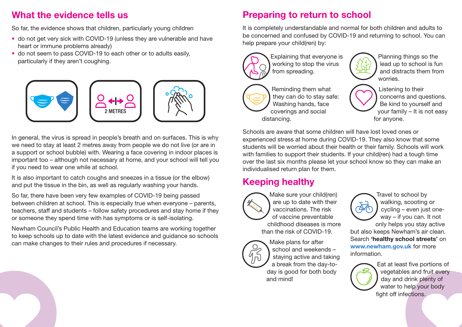#### What the evidence tells us

So far, the evidence shows that children, particularly young children

- do not get very sick with COVID-19 (unless they are vulnerable and have heart or immune problems already)
- do not seem to pass COVID-19 to each other or to adults easily, particularly if they aren't coughing.



In general, the virus is spread in people's breath and on surfaces. This is why we need to stay at least 2 metres away from people we do not live (or are in a support or school bubble) with. Wearing a face covering in indoor places is important too – although not necessary at home, and your school will tell you if you need to wear one while at school.

It is also important to catch coughs and sneezes in a tissue (or the elbow) and put the tissue in the bin, as well as regularly washing your hands.

So far, there have been very few examples of COVID-19 being passed between children at school. This is especially true when everyone – parents, teachers, staff and students – follow safety procedures and stay home if they or someone they spend time with has symptoms or is self-isolating.

Newham Council's Public Health and Education teams are working together to keep schools up to date with the latest evidence and guidance so schools can make changes to their rules and procedures if necessary.

#### Preparing to return to school

It is completely understandable and normal for both children and adults to be concerned and confused by COVID-19 and returning to school. You can help prepare your child(ren) by:



Explaining that everyone is working to stop the virus from spreading.



Reminding them what they can do to stay safe: Washing hands, face coverings and social distancing.

Planning things so the lead up to school is fun and distracts them from worries.



Listening to their concerns and questions. Be kind to yourself and your family – It is not easy for anyone.

Schools are aware that some children will have lost loved ones or experienced stress at home during COVID-19. They also know that some students will be worried about their health or their family. Schools will work with families to support their students. If your child(ren) had a tough time over the last six months please let your school know so they can make an individualised return plan for them.

### Keeping healthy



Make sure your child(ren) are up to date with their vaccinations. The risk of vaccine preventable childhood diseases is more than the risk of COVID-19.



Make plans for after school and weekends – staying active and taking a break from the day-today is good for both body and mind!





Eat at least five portions of vegetables and fruit every day and drink plenty of water to help your body fight off infections.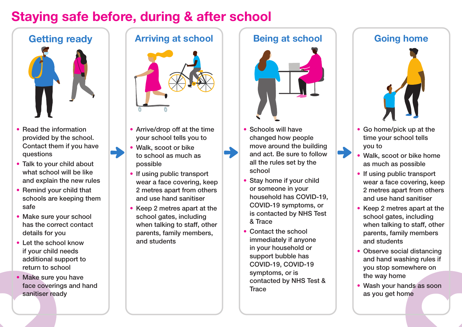## Staying safe before, during & after school



- Read the information provided by the school. Contact them if you have questions
- Talk to your child about what school will be like and explain the new rules
- Remind your child that schools are keeping them safe
- Make sure your school has the correct contact details for you
- Let the school know if your child needs additional support to return to school
- Make sure you have face coverings and hand sanitiser ready



- Arrive/drop off at the time your school tells you to
- Walk, scoot or bike to school as much as possible
- If using public transport wear a face covering, keep 2 metres apart from others and use hand sanitiser
- Keep 2 metres apart at the school gates, including when talking to staff, other parents, family members, and students



- Schools will have changed how people move around the building and act. Be sure to follow all the rules set by the school
- Stay home if your child or someone in your household has COVID-19, COVID-19 symptoms, or is contacted by NHS Test & Trace
- Contact the school immediately if anyone in your household or support bubble has COVID-19, COVID-19 symptoms, or is contacted by NHS Test & **Trace**



- Go home/pick up at the time your school tells you to
- Walk, scoot or bike home as much as possible
- If using public transport wear a face covering, keep 2 metres apart from others and use hand sanitiser
- Keep 2 metres apart at the school gates, including when talking to staff, other parents, family members and students
- Observe social distancing and hand washing rules if you stop somewhere on the way home
- Wash your hands as soon as you get home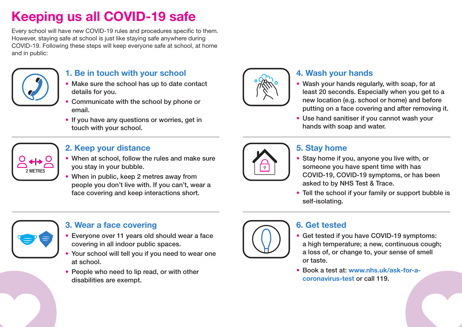## Keeping us all COVID-19 safe

Every school will have new COVID-19 rules and procedures specific to them. However, staying safe at school is just like staying safe anywhere during COVID-19. Following these steps will keep everyone safe at school, at home and in public:



#### **1. Be in touch with your school**

- Make sure the school has up to date contact details for you.
- Communicate with the school by phone or email.
- If you have any questions or worries, get in touch with your school.



#### **2. Keep your distance**

- When at school, follow the rules and make sure you stay in your bubble.
- When in public, keep 2 metres away from people you don't live with. If you can't, wear a face covering and keep interactions short.



#### **4. Wash your hands**

- Wash your hands regularly, with soap, for at least 20 seconds. Especially when you get to a new location (e.g. school or home) and before putting on a face covering and after removing it.
- Use hand sanitiser if you cannot wash your hands with soap and water.



#### **5. Stay home**

- Stay home if you, anyone you live with, or someone you have spent time with has COVID-19, COVID-19 symptoms, or has been asked to by NHS Test & Trace.
- Tell the school if your family or support bubble is self-isolating.



#### **3. Wear a face covering**

- Everyone over 11 years old should wear a face covering in all indoor public spaces.
- Your school will tell you if you need to wear one at school.
- People who need to lip read, or with other disabilities are exempt.



#### **6. Get tested**

- Get tested if you have COVID-19 symptoms: a high temperature; a new, continuous cough; a loss of, or change to, your sense of smell or taste.
- Book a test at: [www.nhs.uk/ask-for-a](http://www.nhs.uk/ask-for-a-coronavirus-test)[coronavirus-test](http://www.nhs.uk/ask-for-a-coronavirus-test) or call 119.